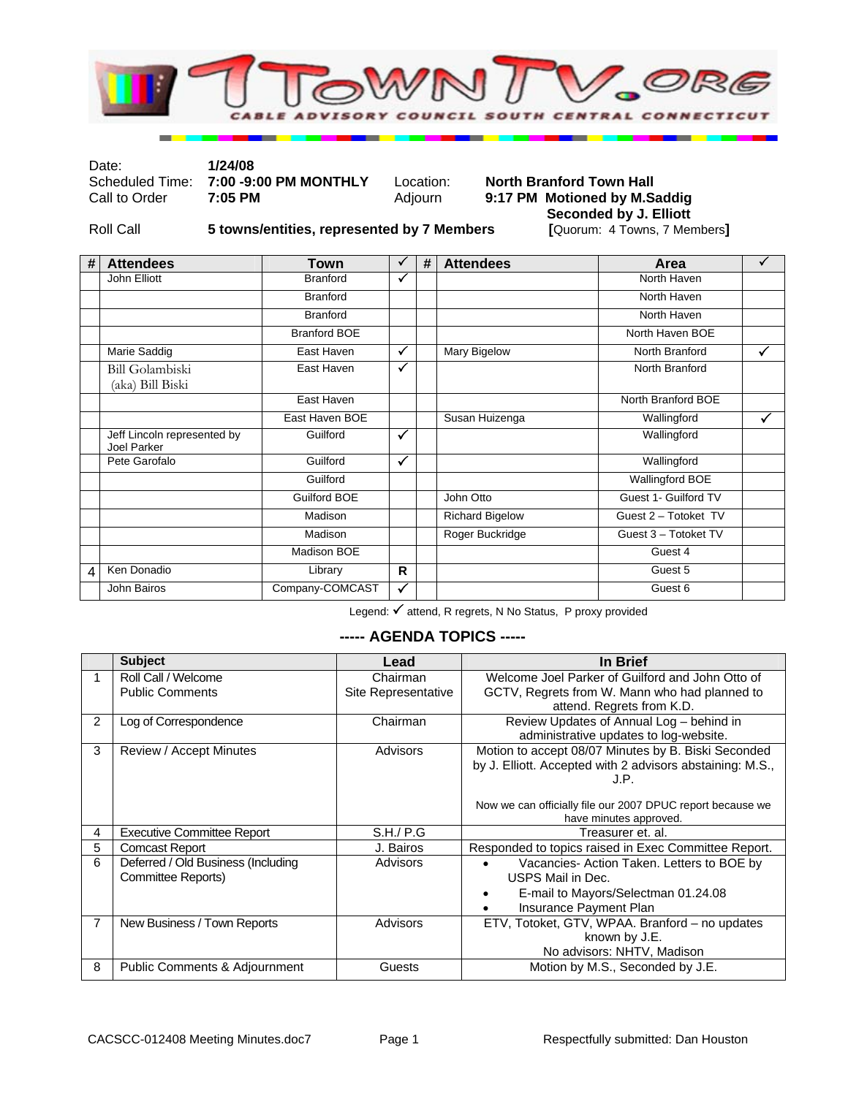

Date: **1/24/08** 

# Scheduled Time: **7:00 -9:00 PM MONTHLY** Location: **North Branford Town Hall Call to Order 7:05 PM MONTHLY** Adjourn **9:17 PM** Motioned by M.S. 9:17 PM Motioned by M.Saddig **Seconded by J. Elliott**<br>[Quorum: 4 Towns, 7 Members]

Roll Call **5 towns/entities, represented by 7 Members** 

| # | <b>Attendees</b>                           | <b>Town</b>         | ✓            | # | <b>Attendees</b>       | Area                 | $\sqrt{ }$ |
|---|--------------------------------------------|---------------------|--------------|---|------------------------|----------------------|------------|
|   | John Elliott                               | <b>Branford</b>     | ✓            |   |                        | North Haven          |            |
|   |                                            | <b>Branford</b>     |              |   |                        | North Haven          |            |
|   |                                            | <b>Branford</b>     |              |   |                        | North Haven          |            |
|   |                                            | <b>Branford BOE</b> |              |   |                        | North Haven BOE      |            |
|   | Marie Saddig                               | East Haven          | ✓            |   | Mary Bigelow           | North Branford       | ✓          |
|   | <b>Bill Golambiski</b><br>(aka) Bill Biski | East Haven          | $\checkmark$ |   |                        | North Branford       |            |
|   |                                            | East Haven          |              |   |                        | North Branford BOE   |            |
|   |                                            | East Haven BOE      |              |   | Susan Huizenga         | Wallingford          | ✓          |
|   | Jeff Lincoln represented by<br>Joel Parker | Guilford            | $\checkmark$ |   |                        | Wallingford          |            |
|   | Pete Garofalo                              | Guilford            | ✓            |   |                        | Wallingford          |            |
|   |                                            | Guilford            |              |   |                        | Wallingford BOE      |            |
|   |                                            | <b>Guilford BOE</b> |              |   | John Otto              | Guest 1- Guilford TV |            |
|   |                                            | Madison             |              |   | <b>Richard Bigelow</b> | Guest 2 - Totoket TV |            |
|   |                                            | Madison             |              |   | Roger Buckridge        | Guest 3 - Totoket TV |            |
|   |                                            | Madison BOE         |              |   |                        | Guest 4              |            |
| 4 | Ken Donadio                                | Library             | R            |   |                        | Guest 5              |            |
|   | John Bairos                                | Company-COMCAST     | ✓            |   |                        | Guest 6              |            |

Legend: √ attend, R regrets, N No Status, P proxy provided

#### **----- AGENDA TOPICS -----**

|    | <b>Subject</b>                           | Lead                | In Brief                                                   |
|----|------------------------------------------|---------------------|------------------------------------------------------------|
| 1. | Roll Call / Welcome                      | Chairman            | Welcome Joel Parker of Guilford and John Otto of           |
|    | <b>Public Comments</b>                   | Site Representative | GCTV, Regrets from W. Mann who had planned to              |
|    |                                          |                     | attend. Regrets from K.D.                                  |
| 2  | Log of Correspondence                    | Chairman            | Review Updates of Annual Log - behind in                   |
|    |                                          |                     | administrative updates to log-website.                     |
| 3  | Review / Accept Minutes                  | Advisors            | Motion to accept 08/07 Minutes by B. Biski Seconded        |
|    |                                          |                     | by J. Elliott. Accepted with 2 advisors abstaining: M.S.,  |
|    |                                          |                     | J.P.                                                       |
|    |                                          |                     | Now we can officially file our 2007 DPUC report because we |
|    |                                          |                     | have minutes approved.                                     |
| 4  | <b>Executive Committee Report</b>        | S.H./ P.G           | Treasurer et. al.                                          |
| 5  | <b>Comcast Report</b>                    | J. Bairos           | Responded to topics raised in Exec Committee Report.       |
| 6  | Deferred / Old Business (Including       | Advisors            | Vacancies- Action Taken. Letters to BOE by                 |
|    | Committee Reports)                       |                     | USPS Mail in Dec.                                          |
|    |                                          |                     | E-mail to Mayors/Selectman 01.24.08                        |
|    |                                          |                     | Insurance Payment Plan                                     |
| 7  | New Business / Town Reports              | Advisors            | ETV, Totoket, GTV, WPAA. Branford - no updates             |
|    |                                          |                     | known by J.E.                                              |
|    |                                          |                     | No advisors: NHTV, Madison                                 |
| 8  | <b>Public Comments &amp; Adjournment</b> | Guests              | Motion by M.S., Seconded by J.E.                           |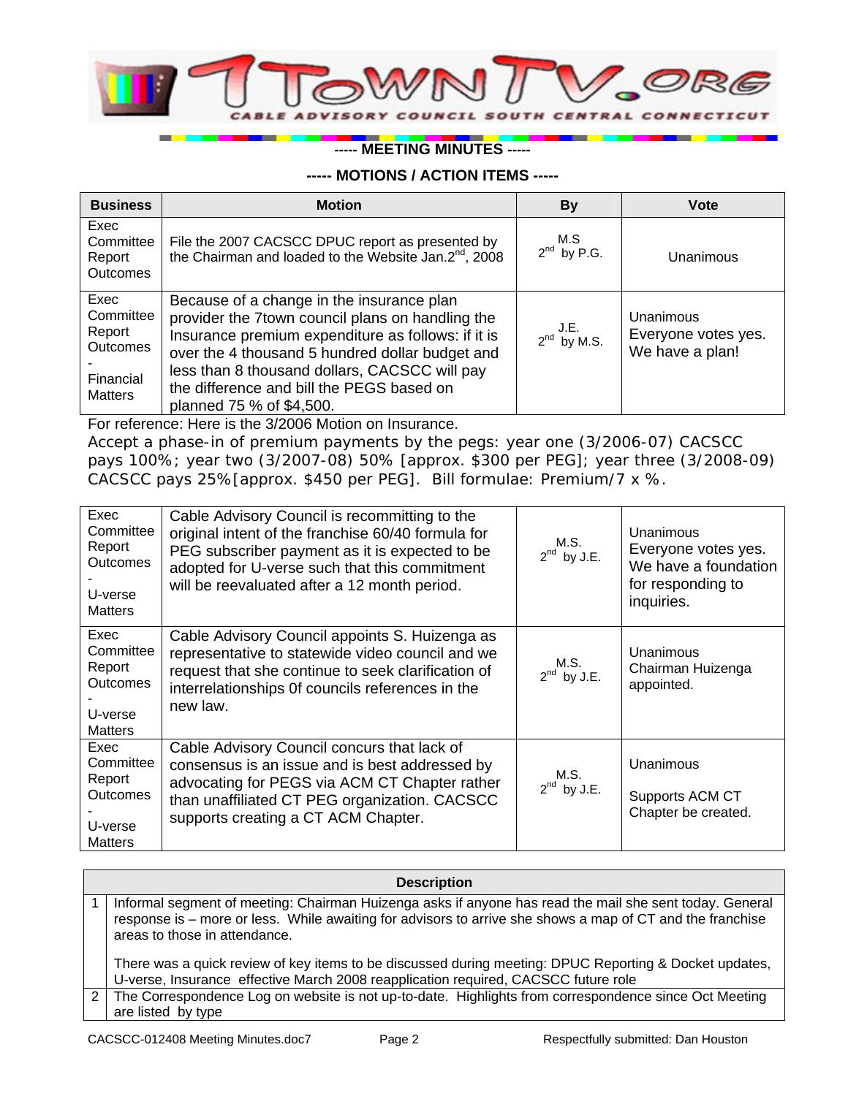

## **----- MEETING MINUTES -----**

### **----- MOTIONS / ACTION ITEMS -----**

| <b>Business</b>                                                               | <b>Motion</b>                                                                                                                                                                                                                                                                                                                    | <b>By</b>                | <b>Vote</b>                                         |
|-------------------------------------------------------------------------------|----------------------------------------------------------------------------------------------------------------------------------------------------------------------------------------------------------------------------------------------------------------------------------------------------------------------------------|--------------------------|-----------------------------------------------------|
| Exec<br>Committee<br>Report<br><b>Outcomes</b>                                | File the 2007 CACSCC DPUC report as presented by<br>the Chairman and loaded to the Website Jan.2 <sup>nd</sup> , 2008                                                                                                                                                                                                            | M.S<br>$2^{nd}$ by P.G.  | Unanimous                                           |
| Exec<br>Committee<br>Report<br><b>Outcomes</b><br>Financial<br><b>Matters</b> | Because of a change in the insurance plan<br>provider the 7town council plans on handling the<br>Insurance premium expenditure as follows: if it is<br>over the 4 thousand 5 hundred dollar budget and<br>less than 8 thousand dollars, CACSCC will pay<br>the difference and bill the PEGS based on<br>planned 75 % of \$4,500. | J.E.<br>$2^{nd}$ by M.S. | Unanimous<br>Everyone votes yes.<br>We have a plan! |

For reference: Here is the 3/2006 Motion on Insurance.

Accept a phase-in of premium payments by the pegs: year one (3/2006-07) CACSCC pays 100%; year two (3/2007-08) 50% [approx. \$300 per PEG]; year three (3/2008-09) CACSCC pays 25%[approx. \$450 per PEG]. Bill formulae: Premium/7 x %.

| Exec<br>Committee<br>Report<br><b>Outcomes</b><br>U-verse<br><b>Matters</b> | Cable Advisory Council is recommitting to the<br>original intent of the franchise 60/40 formula for<br>PEG subscriber payment as it is expected to be<br>adopted for U-verse such that this commitment<br>will be reevaluated after a 12 month period. | M.S.<br>$2^{nd}$ by J.E. | Unanimous<br>Everyone votes yes.<br>We have a foundation<br>for responding to<br>inquiries. |
|-----------------------------------------------------------------------------|--------------------------------------------------------------------------------------------------------------------------------------------------------------------------------------------------------------------------------------------------------|--------------------------|---------------------------------------------------------------------------------------------|
| Exec<br>Committee<br>Report<br><b>Outcomes</b><br>U-verse<br><b>Matters</b> | Cable Advisory Council appoints S. Huizenga as<br>representative to statewide video council and we<br>request that she continue to seek clarification of<br>interrelationships Of councils references in the<br>new law.                               | M.S.<br>$2^{nd}$ by J.E. | Unanimous<br>Chairman Huizenga<br>appointed.                                                |
| Exec<br>Committee<br>Report<br><b>Outcomes</b><br>U-verse<br><b>Matters</b> | Cable Advisory Council concurs that lack of<br>consensus is an issue and is best addressed by<br>advocating for PEGS via ACM CT Chapter rather<br>than unaffiliated CT PEG organization. CACSCC<br>supports creating a CT ACM Chapter.                 | M.S.<br>$2^{nd}$ by J.E. | Unanimous<br>Supports ACM CT<br>Chapter be created.                                         |

| <b>Description</b> |  |
|--------------------|--|
|--------------------|--|

1 | Informal segment of meeting: Chairman Huizenga asks if anyone has read the mail she sent today. General response is – more or less. While awaiting for advisors to arrive she shows a map of CT and the franchise areas to those in attendance. There was a quick review of key items to be discussed during meeting: DPUC Reporting & Docket updates,

U-verse, Insurance effective March 2008 reapplication required, CACSCC future role 2 The Correspondence Log on website is not up-to-date. Highlights from correspondence since Oct Meeting are listed by type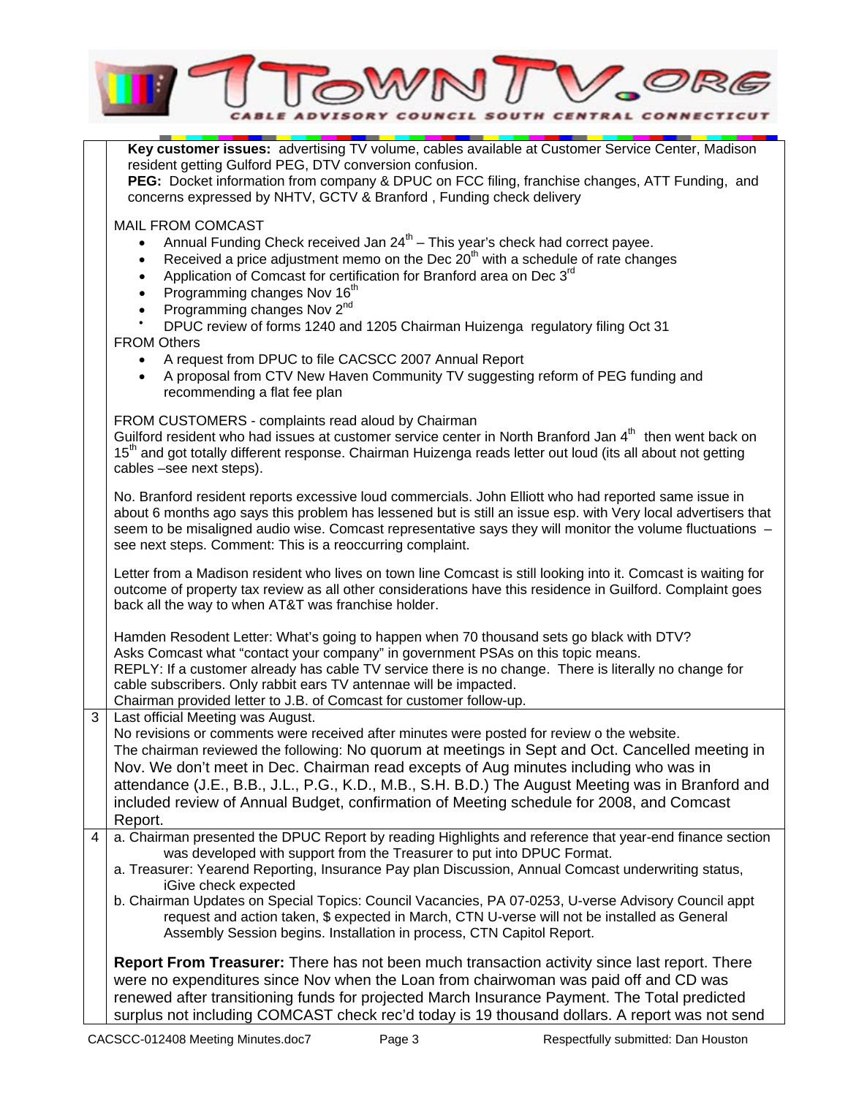

**Key customer issues:** advertising TV volume, cables available at Customer Service Center, Madison

resident getting Gulford PEG, DTV conversion confusion. **PEG:** Docket information from company & DPUC on FCC filing, franchise changes, ATT Funding, and concerns expressed by NHTV, GCTV & Branford , Funding check delivery MAIL FROM COMCAST Annual Funding Check received Jan  $24<sup>th</sup>$  – This year's check had correct payee. Received a price adjustment memo on the Dec  $20<sup>th</sup>$  with a schedule of rate changes Application of Comcast for certification for Branford area on Dec 3<sup>rd</sup> Programming changes Nov 16<sup>th</sup> Programming changes Nov 2<sup>nd</sup> • DPUC review of forms 1240 and 1205 Chairman Huizenga regulatory filing Oct 31 FROM Others • A request from DPUC to file CACSCC 2007 Annual Report • A proposal from CTV New Haven Community TV suggesting reform of PEG funding and recommending a flat fee plan FROM CUSTOMERS - complaints read aloud by Chairman Guilford resident who had issues at customer service center in North Branford Jan  $4<sup>th</sup>$  then went back on 15<sup>th</sup> and got totally different response. Chairman Huizenga reads letter out loud (its all about not getting cables –see next steps). No. Branford resident reports excessive loud commercials. John Elliott who had reported same issue in about 6 months ago says this problem has lessened but is still an issue esp. with Very local advertisers that seem to be misaligned audio wise. Comcast representative says they will monitor the volume fluctuations see next steps. Comment: This is a reoccurring complaint. Letter from a Madison resident who lives on town line Comcast is still looking into it. Comcast is waiting for outcome of property tax review as all other considerations have this residence in Guilford. Complaint goes back all the way to when AT&T was franchise holder. Hamden Resodent Letter: What's going to happen when 70 thousand sets go black with DTV? Asks Comcast what "contact your company" in government PSAs on this topic means. REPLY: If a customer already has cable TV service there is no change. There is literally no change for cable subscribers. Only rabbit ears TV antennae will be impacted. Chairman provided letter to J.B. of Comcast for customer follow-up. 3 Last official Meeting was August. No revisions or comments were received after minutes were posted for review o the website. The chairman reviewed the following: No quorum at meetings in Sept and Oct. Cancelled meeting in Nov. We don't meet in Dec. Chairman read excepts of Aug minutes including who was in attendance (J.E., B.B., J.L., P.G., K.D., M.B., S.H. B.D.) The August Meeting was in Branford and included review of Annual Budget, confirmation of Meeting schedule for 2008, and Comcast Report. 4 a. Chairman presented the DPUC Report by reading Highlights and reference that year-end finance section was developed with support from the Treasurer to put into DPUC Format. a. Treasurer: Yearend Reporting, Insurance Pay plan Discussion, Annual Comcast underwriting status, iGive check expected b. Chairman Updates on Special Topics: Council Vacancies, PA 07-0253, U-verse Advisory Council appt request and action taken, \$ expected in March, CTN U-verse will not be installed as General Assembly Session begins. Installation in process, CTN Capitol Report. **Report From Treasurer:** There has not been much transaction activity since last report. There were no expenditures since Nov when the Loan from chairwoman was paid off and CD was

renewed after transitioning funds for projected March Insurance Payment. The Total predicted surplus not including COMCAST check rec'd today is 19 thousand dollars. A report was not send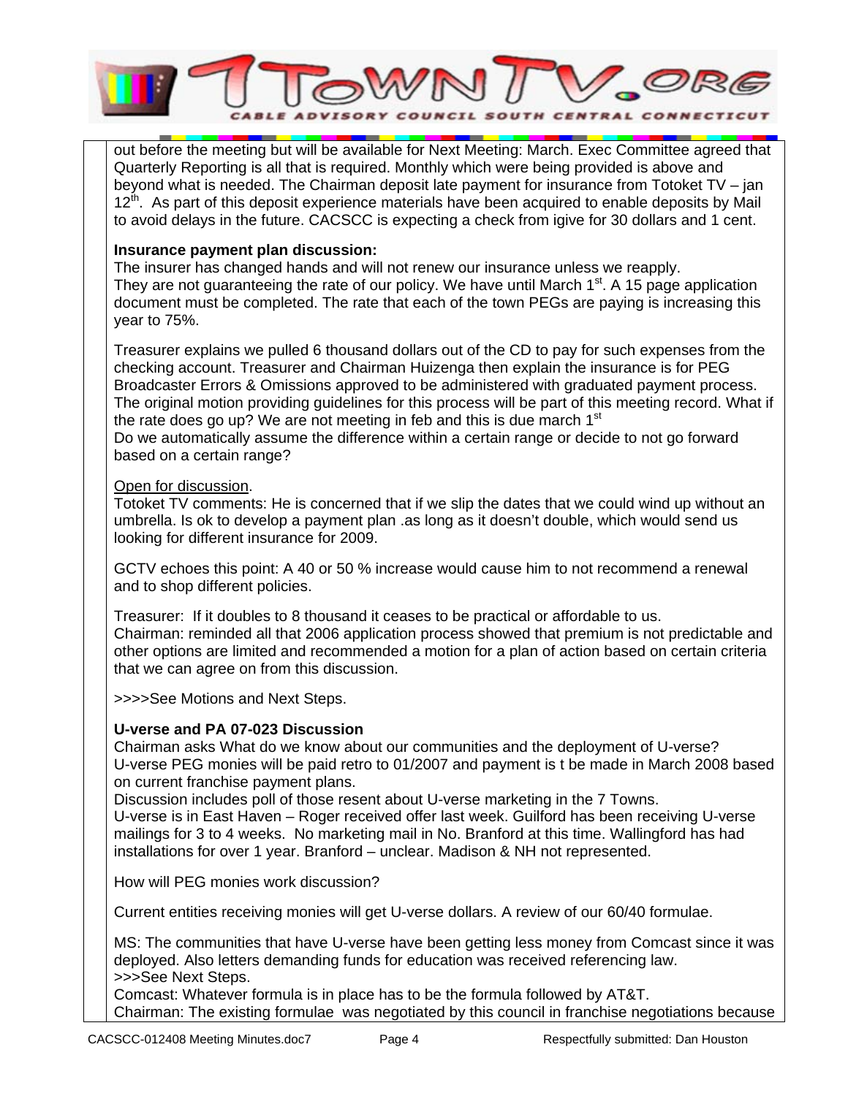

out before the meeting but will be available for Next Meeting: March. Exec Committee agreed that Quarterly Reporting is all that is required. Monthly which were being provided is above and beyond what is needed. The Chairman deposit late payment for insurance from Totoket TV – jan 12<sup>th</sup>. As part of this deposit experience materials have been acquired to enable deposits by Mail to avoid delays in the future. CACSCC is expecting a check from igive for 30 dollars and 1 cent.

## **Insurance payment plan discussion:**

The insurer has changed hands and will not renew our insurance unless we reapply. They are not guaranteeing the rate of our policy. We have until March  $1<sup>st</sup>$ . A 15 page application document must be completed. The rate that each of the town PEGs are paying is increasing this year to 75%.

Treasurer explains we pulled 6 thousand dollars out of the CD to pay for such expenses from the checking account. Treasurer and Chairman Huizenga then explain the insurance is for PEG Broadcaster Errors & Omissions approved to be administered with graduated payment process. The original motion providing guidelines for this process will be part of this meeting record. What if the rate does go up? We are not meeting in feb and this is due march  $1<sup>st</sup>$ Do we automatically assume the difference within a certain range or decide to not go forward based on a certain range?

#### Open for discussion.

Totoket TV comments: He is concerned that if we slip the dates that we could wind up without an umbrella. Is ok to develop a payment plan .as long as it doesn't double, which would send us looking for different insurance for 2009.

GCTV echoes this point: A 40 or 50 % increase would cause him to not recommend a renewal and to shop different policies.

Treasurer: If it doubles to 8 thousand it ceases to be practical or affordable to us. Chairman: reminded all that 2006 application process showed that premium is not predictable and other options are limited and recommended a motion for a plan of action based on certain criteria that we can agree on from this discussion.

>>>>See Motions and Next Steps.

## **U-verse and PA 07-023 Discussion**

Chairman asks What do we know about our communities and the deployment of U-verse? U-verse PEG monies will be paid retro to 01/2007 and payment is t be made in March 2008 based on current franchise payment plans.

Discussion includes poll of those resent about U-verse marketing in the 7 Towns. U-verse is in East Haven – Roger received offer last week. Guilford has been receiving U-verse mailings for 3 to 4 weeks. No marketing mail in No. Branford at this time. Wallingford has had installations for over 1 year. Branford – unclear. Madison & NH not represented.

How will PEG monies work discussion?

Current entities receiving monies will get U-verse dollars. A review of our 60/40 formulae.

MS: The communities that have U-verse have been getting less money from Comcast since it was deployed. Also letters demanding funds for education was received referencing law. >>>See Next Steps.

Comcast: Whatever formula is in place has to be the formula followed by AT&T. Chairman: The existing formulae was negotiated by this council in franchise negotiations because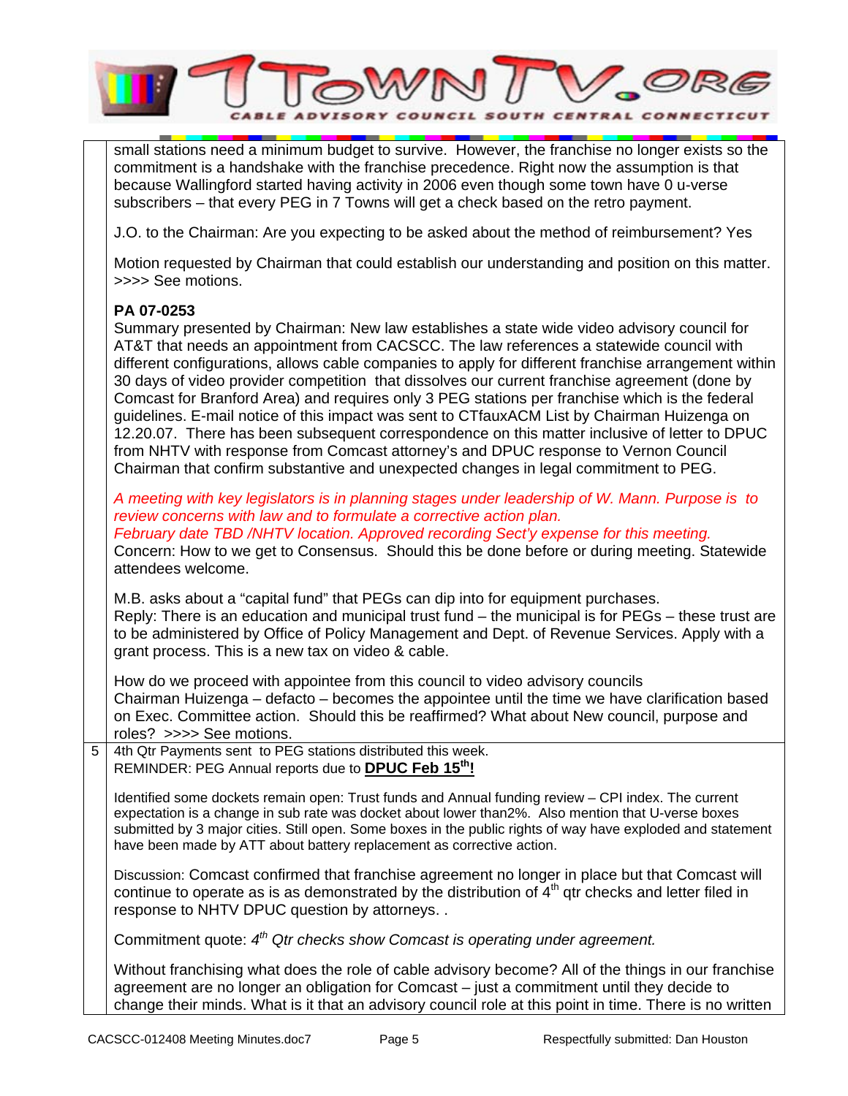

small stations need a minimum budget to survive. However, the franchise no longer exists so the commitment is a handshake with the franchise precedence. Right now the assumption is that because Wallingford started having activity in 2006 even though some town have 0 u-verse subscribers – that every PEG in 7 Towns will get a check based on the retro payment.

J.O. to the Chairman: Are you expecting to be asked about the method of reimbursement? Yes

Motion requested by Chairman that could establish our understanding and position on this matter. >>>> See motions.

#### **PA 07-0253**

Summary presented by Chairman: New law establishes a state wide video advisory council for AT&T that needs an appointment from CACSCC. The law references a statewide council with different configurations, allows cable companies to apply for different franchise arrangement within 30 days of video provider competition that dissolves our current franchise agreement (done by Comcast for Branford Area) and requires only 3 PEG stations per franchise which is the federal guidelines. E-mail notice of this impact was sent to CTfauxACM List by Chairman Huizenga on 12.20.07. There has been subsequent correspondence on this matter inclusive of letter to DPUC from NHTV with response from Comcast attorney's and DPUC response to Vernon Council Chairman that confirm substantive and unexpected changes in legal commitment to PEG.

*A meeting with key legislators is in planning stages under leadership of W. Mann. Purpose is to review concerns with law and to formulate a corrective action plan. February date TBD /NHTV location. Approved recording Sect'y expense for this meeting.* 

Concern: How to we get to Consensus. Should this be done before or during meeting. Statewide attendees welcome.

M.B. asks about a "capital fund" that PEGs can dip into for equipment purchases. Reply: There is an education and municipal trust fund – the municipal is for PEGs – these trust are to be administered by Office of Policy Management and Dept. of Revenue Services. Apply with a grant process. This is a new tax on video & cable.

How do we proceed with appointee from this council to video advisory councils Chairman Huizenga – defacto – becomes the appointee until the time we have clarification based on Exec. Committee action. Should this be reaffirmed? What about New council, purpose and roles? >>>> See motions.

5 4th Qtr Payments sent to PEG stations distributed this week. REMINDER: PEG Annual reports due to **DPUC Feb 15th!**

Identified some dockets remain open: Trust funds and Annual funding review – CPI index. The current expectation is a change in sub rate was docket about lower than2%. Also mention that U-verse boxes submitted by 3 major cities. Still open. Some boxes in the public rights of way have exploded and statement have been made by ATT about battery replacement as corrective action.

Discussion: Comcast confirmed that franchise agreement no longer in place but that Comcast will continue to operate as is as demonstrated by the distribution of  $4<sup>th</sup>$  qtr checks and letter filed in response to NHTV DPUC question by attorneys. .

Commitment quote: *4th Qtr checks show Comcast is operating under agreement.*

Without franchising what does the role of cable advisory become? All of the things in our franchise agreement are no longer an obligation for Comcast – just a commitment until they decide to change their minds. What is it that an advisory council role at this point in time. There is no written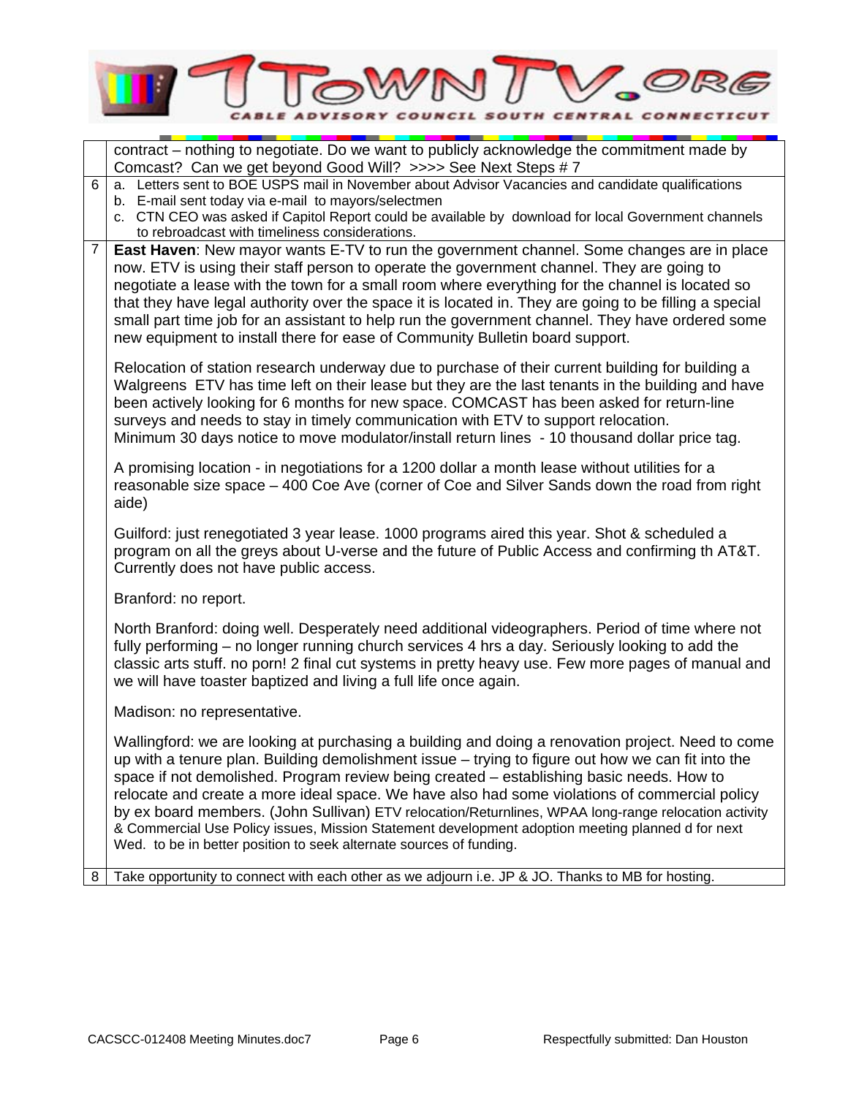

|                                                                                                                                                                                                                                                                                                                                                                                                                                                                                         |                                                                                                                                                                                                                                                                                                                                                                             | contract – nothing to negotiate. Do we want to publicly acknowledge the commitment made by<br>Comcast? Can we get beyond Good Will? >>>> See Next Steps # 7                                                                                                                                                                                                                                                                                                                                                                                                                                                                                                                             |  |  |  |  |
|-----------------------------------------------------------------------------------------------------------------------------------------------------------------------------------------------------------------------------------------------------------------------------------------------------------------------------------------------------------------------------------------------------------------------------------------------------------------------------------------|-----------------------------------------------------------------------------------------------------------------------------------------------------------------------------------------------------------------------------------------------------------------------------------------------------------------------------------------------------------------------------|-----------------------------------------------------------------------------------------------------------------------------------------------------------------------------------------------------------------------------------------------------------------------------------------------------------------------------------------------------------------------------------------------------------------------------------------------------------------------------------------------------------------------------------------------------------------------------------------------------------------------------------------------------------------------------------------|--|--|--|--|
|                                                                                                                                                                                                                                                                                                                                                                                                                                                                                         | 6                                                                                                                                                                                                                                                                                                                                                                           | a. Letters sent to BOE USPS mail in November about Advisor Vacancies and candidate qualifications<br>b. E-mail sent today via e-mail to mayors/selectmen<br>c. CTN CEO was asked if Capitol Report could be available by download for local Government channels<br>to rebroadcast with timeliness considerations.                                                                                                                                                                                                                                                                                                                                                                       |  |  |  |  |
|                                                                                                                                                                                                                                                                                                                                                                                                                                                                                         | $\overline{7}$                                                                                                                                                                                                                                                                                                                                                              | East Haven: New mayor wants E-TV to run the government channel. Some changes are in place<br>now. ETV is using their staff person to operate the government channel. They are going to<br>negotiate a lease with the town for a small room where everything for the channel is located so<br>that they have legal authority over the space it is located in. They are going to be filling a special<br>small part time job for an assistant to help run the government channel. They have ordered some<br>new equipment to install there for ease of Community Bulletin board support.                                                                                                  |  |  |  |  |
| Relocation of station research underway due to purchase of their current building for building a<br>Walgreens ETV has time left on their lease but they are the last tenants in the building and have<br>been actively looking for 6 months for new space. COMCAST has been asked for return-line<br>surveys and needs to stay in timely communication with ETV to support relocation.<br>Minimum 30 days notice to move modulator/install return lines - 10 thousand dollar price tag. |                                                                                                                                                                                                                                                                                                                                                                             |                                                                                                                                                                                                                                                                                                                                                                                                                                                                                                                                                                                                                                                                                         |  |  |  |  |
|                                                                                                                                                                                                                                                                                                                                                                                                                                                                                         |                                                                                                                                                                                                                                                                                                                                                                             | A promising location - in negotiations for a 1200 dollar a month lease without utilities for a<br>reasonable size space - 400 Coe Ave (corner of Coe and Silver Sands down the road from right<br>aide)                                                                                                                                                                                                                                                                                                                                                                                                                                                                                 |  |  |  |  |
|                                                                                                                                                                                                                                                                                                                                                                                                                                                                                         | Guilford: just renegotiated 3 year lease. 1000 programs aired this year. Shot & scheduled a<br>program on all the greys about U-verse and the future of Public Access and confirming th AT&T.<br>Currently does not have public access.                                                                                                                                     |                                                                                                                                                                                                                                                                                                                                                                                                                                                                                                                                                                                                                                                                                         |  |  |  |  |
|                                                                                                                                                                                                                                                                                                                                                                                                                                                                                         |                                                                                                                                                                                                                                                                                                                                                                             | Branford: no report.                                                                                                                                                                                                                                                                                                                                                                                                                                                                                                                                                                                                                                                                    |  |  |  |  |
|                                                                                                                                                                                                                                                                                                                                                                                                                                                                                         | North Branford: doing well. Desperately need additional videographers. Period of time where not<br>fully performing – no longer running church services 4 hrs a day. Seriously looking to add the<br>classic arts stuff. no porn! 2 final cut systems in pretty heavy use. Few more pages of manual and<br>we will have toaster baptized and living a full life once again. |                                                                                                                                                                                                                                                                                                                                                                                                                                                                                                                                                                                                                                                                                         |  |  |  |  |
|                                                                                                                                                                                                                                                                                                                                                                                                                                                                                         |                                                                                                                                                                                                                                                                                                                                                                             | Madison: no representative.                                                                                                                                                                                                                                                                                                                                                                                                                                                                                                                                                                                                                                                             |  |  |  |  |
|                                                                                                                                                                                                                                                                                                                                                                                                                                                                                         |                                                                                                                                                                                                                                                                                                                                                                             | Wallingford: we are looking at purchasing a building and doing a renovation project. Need to come<br>up with a tenure plan. Building demolishment issue - trying to figure out how we can fit into the<br>space if not demolished. Program review being created – establishing basic needs. How to<br>relocate and create a more ideal space. We have also had some violations of commercial policy<br>by ex board members. (John Sullivan) ETV relocation/Returnlines, WPAA long-range relocation activity<br>& Commercial Use Policy issues, Mission Statement development adoption meeting planned d for next<br>Wed. to be in better position to seek alternate sources of funding. |  |  |  |  |
|                                                                                                                                                                                                                                                                                                                                                                                                                                                                                         | 8                                                                                                                                                                                                                                                                                                                                                                           | Take opportunity to connect with each other as we adjourn i.e. JP & JO. Thanks to MB for hosting.                                                                                                                                                                                                                                                                                                                                                                                                                                                                                                                                                                                       |  |  |  |  |